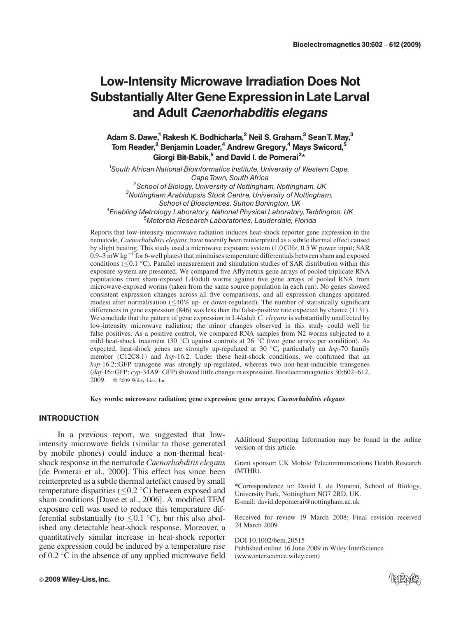# Low-Intensity Microwave Irradiation Does Not SubstantiallyAlterGeneExpressionin Late Larval and Adult Caenorhabditis elegans

Adam S. Dawe,<sup>1</sup> Rakesh K. Bodhicharla,<sup>2</sup> Neil S. Graham,<sup>3</sup> Sean T. May,<sup>3</sup> Tom Reader,<sup>2</sup> Benjamin Loader,<sup>4</sup> Andrew Gregory,<sup>4</sup> Mays Swicord,<sup>5</sup> Giorgi Bit-Babik,  $5$  and David I. de Pomerai<sup>2\*</sup>

<sup>1</sup>South African National Bioinformatics Institute, University of Western Cape, Cape Town, South Africa<br><sup>2</sup> Sebeel of Bioleay, University of Nottinghay  $\frac{2}{3}$ School of Biology, University of Nottingham, Nottingham, UK  $^3$ Nottingham, University of Nottingham  $3$ Nottingham Arabidopsis Stock Centre, University of Nottingham, School of Biosciences, Sutton Bonington, UK<br><sup>4</sup>Enabling Metrology Laboratory, National Physical Laboratory Enabling Metrology Laboratory, National Physical Laboratory,Teddington, UK <sup>5</sup> Motorola Research Laboratories, Lauderdale, Florida

Reports that low-intensity microwave radiation induces heat-shock reporter gene expression in the nematode, Caenorhabditis elegans, have recently been reinterpreted as a subtle thermal effect caused by slight heating. This study used a microwave exposure system (1.0 GHz, 0.5 W power input; SAR 0.9–3 mW kg<sup>-1</sup> for 6-well plates) that minimises temperature differentials between sham and exposed conditions ( $\leq$ 0.1 °C). Parallel measurement and simulation studies of SAR distribution within this exposure system are presented. We compared five Affymetrix gene arrays of pooled triplicate RNA populations from sham-exposed L4/adult worms against five gene arrays of pooled RNA from microwave-exposed worms (taken from the same source population in each run). No genes showed consistent expression changes across all five comparisons, and all expression changes appeared modest after normalisation  $(\leq 40\%$  up- or down-regulated). The number of statistically significant differences in gene expression (846) was less than the false-positive rate expected by chance (1131). We conclude that the pattern of gene expression in L4/adult C. elegans is substantially unaffected by low-intensity microwave radiation; the minor changes observed in this study could well be false positives. As a positive control, we compared RNA samples from N2 worms subjected to a mild heat-shock treatment (30 °C) against controls at 26 °C (two gene arrays per condition). As expected, heat-shock genes are strongly up-regulated at 30  $^{\circ}$ C, particularly an hsp-70 family member (C12C8.1) and hsp-16.2. Under these heat-shock conditions, we confirmed that an hsp-16.2::GFP transgene was strongly up-regulated, whereas two non-heat-inducible transgenes (daf-16::GFP; cyp-34A9::GFP) showed little change in expression. Bioelectromagnetics 30:602–612, 2009. 0 2009 Wiley-Liss, Inc.

Key words: microwave radiation; gene expression; gene arrays; Caenorhabditis elegans

## INTRODUCTION

In a previous report, we suggested that lowintensity microwave fields (similar to those generated by mobile phones) could induce a non-thermal heatshock response in the nematode Caenorhabditis elegans [de Pomerai et al., 2000]. This effect has since been reinterpreted as a subtle thermal artefact caused by small temperature disparities  $(\leq 0.2 \degree C)$  between exposed and sham conditions [Dawe et al., 2006]. A modified TEM exposure cell was used to reduce this temperature differential substantially (to  $\leq 0.1$  °C), but this also abolished any detectable heat-shock response. Moreover, a quantitatively similar increase in heat-shock reporter gene expression could be induced by a temperature rise of  $0.2 \degree$ C in the absence of any applied microwave field

\*Correspondence to: David I. de Pomerai, School of Biology, University Park, Nottingham NG7 2RD, UK. E-mail: david.depomerai@nottingham.ac.uk

Received for review 19 March 2008; Final revision received 24 March 2009

DOI 10.1002/bem.20515 Published online 16 June 2009 in Wiley InterScience (www.interscience.wiley.com)



Additional Supporting Information may be found in the online version of this article.

Grant sponsor: UK Mobile Telecommunications Health Research (MTHR).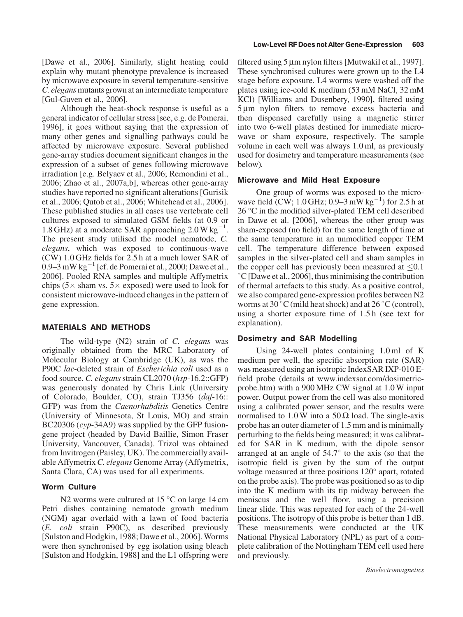[Dawe et al., 2006]. Similarly, slight heating could explain why mutant phenotype prevalence is increased by microwave exposure in several temperature-sensitive C. elegans mutants grown at an intermediate temperature [Gul-Guven et al., 2006].

Although the heat-shock response is useful as a general indicator of cellular stress [see, e.g. de Pomerai, 1996], it goes without saying that the expression of many other genes and signalling pathways could be affected by microwave exposure. Several published gene-array studies document significant changes in the expression of a subset of genes following microwave irradiation [e.g. Belyaev et al., 2006; Remondini et al., 2006; Zhao et al., 2007a,b], whereas other gene-array studies have reported no significant alterations [Gurisik et al., 2006; Qutob et al., 2006; Whitehead et al., 2006]. These published studies in all cases use vertebrate cell cultures exposed to simulated GSM fields (at 0.9 or 1.8 GHz) at a moderate SAR approaching  $2.0 W kg$ <sup>-1</sup> . The present study utilised the model nematode, C. elegans, which was exposed to continuous-wave (CW) 1.0 GHz fields for 2.5 h at a much lower SAR of 0.9–3 mW  $kg^{-1}$  [cf. de Pomerai et al., 2000; Dawe et al., 2006]. Pooled RNA samples and multiple Affymetrix chips ( $5 \times$  sham vs.  $5 \times$  exposed) were used to look for consistent microwave-induced changes in the pattern of gene expression.

## MATERIALS AND METHODS

The wild-type (N2) strain of C. elegans was originally obtained from the MRC Laboratory of Molecular Biology at Cambridge (UK), as was the P90C lac-deleted strain of Escherichia coli used as a food source. C. elegans strain CL2070 (hsp-16.2::GFP) was generously donated by Chris Link (University of Colorado, Boulder, CO), strain TJ356 (daf-16:: GFP) was from the Caenorhabditis Genetics Centre (University of Minnesota, St Louis, MO) and strain BC20306 (cyp-34A9) was supplied by the GFP fusiongene project (headed by David Baillie, Simon Fraser University, Vancouver, Canada). Trizol was obtained from Invitrogen (Paisley, UK). The commercially available Affymetrix C. elegans Genome Array (Affymetrix, Santa Clara, CA) was used for all experiments.

#### **Worm Culture**

N2 worms were cultured at  $15^{\circ}$ C on large 14 cm Petri dishes containing nematode growth medium (NGM) agar overlaid with a lawn of food bacteria (E. coli strain P90C), as described previously [Sulston and Hodgkin, 1988; Dawe et al., 2006]. Worms were then synchronised by egg isolation using bleach [Sulston and Hodgkin, 1988] and the L1 offspring were

filtered using  $5 \mu m$  nylon filters [Mutwakil et al., 1997]. These synchronised cultures were grown up to the L4 stage before exposure. L4 worms were washed off the plates using ice-cold K medium (53 mM NaCl, 32 mM KCl) [Williams and Dusenbery, 1990], filtered using 5 um nylon filters to remove excess bacteria and then dispensed carefully using a magnetic stirrer into two 6-well plates destined for immediate microwave or sham exposure, respectively. The sample volume in each well was always 1.0 ml, as previously used for dosimetry and temperature measurements (see below).

## Microwave and Mild Heat Exposure

One group of worms was exposed to the microwave field  $\tilde{C}$ CW; 1.0 GHz; 0.9–3 mW kg<sup>-1</sup>) for 2.5 h at 26 °C in the modified silver-plated TEM cell described in Dawe et al. [2006], whereas the other group was sham-exposed (no field) for the same length of time at the same temperature in an unmodified copper TEM cell. The temperature difference between exposed samples in the silver-plated cell and sham samples in the copper cell has previously been measured at  $\leq 0.1$  $\rm{^{\circ}C}$  [Dawe et al., 2006], thus minimising the contribution of thermal artefacts to this study. As a positive control, we also compared gene-expression profiles between N2 worms at 30 °C (mild heat shock) and at 26 °C (control), using a shorter exposure time of 1.5 h (see text for explanation).

#### Dosimetry and SAR Modelling

Using 24-well plates containing 1.0 ml of K medium per well, the specific absorption rate (SAR) was measured using an isotropic IndexSAR IXP-010 Efield probe (details at www.indexsar.com/dosimetricprobe.htm) with a 900 MHz CW signal at 1.0 W input power. Output power from the cell was also monitored using a calibrated power sensor, and the results were normalised to 1.0 W into a 50  $\Omega$  load. The single-axis probe has an outer diameter of 1.5 mm and is minimally perturbing to the fields being measured; it was calibrated for SAR in K medium, with the dipole sensor arranged at an angle of  $54.7^\circ$  to the axis (so that the isotropic field is given by the sum of the output voltage measured at three positions 120° apart, rotated on the probe axis). The probe was positioned so as to dip into the K medium with its tip midway between the meniscus and the well floor, using a precision linear slide. This was repeated for each of the 24-well positions. The isotropy of this probe is better than 1 dB. These measurements were conducted at the UK National Physical Laboratory (NPL) as part of a complete calibration of the Nottingham TEM cell used here and previously.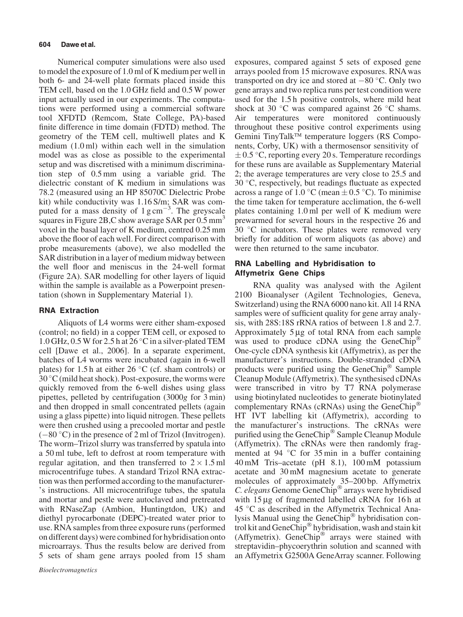#### 604 Dawe et al.

Numerical computer simulations were also used to model the exposure of 1.0 ml of K medium per well in both 6- and 24-well plate formats placed inside this TEM cell, based on the 1.0 GHz field and 0.5 W power input actually used in our experiments. The computations were performed using a commercial software tool XFDTD (Remcom, State College, PA)-based finite difference in time domain (FDTD) method. The geometry of the TEM cell, multiwell plates and K medium (1.0 ml) within each well in the simulation model was as close as possible to the experimental setup and was discretised with a minimum discrimination step of 0.5 mm using a variable grid. The dielectric constant of K medium in simulations was 78.2 (measured using an HP 85070C Dielectric Probe kit) while conductivity was 1.16 S/m; SAR was computed for a mass density of  $1 \text{ g cm}^{-3}$ . The greyscale squares in Figure 2B,C show average SAR per  $0.5 \text{ mm}^3$ voxel in the basal layer of K medium, centred 0.25 mm above the floor of each well. For direct comparison with probe measurements (above), we also modelled the SAR distribution in a layer of medium midway between the well floor and meniscus in the 24-well format (Figure 2A). SAR modelling for other layers of liquid within the sample is available as a Powerpoint presentation (shown in Supplementary Material 1).

# RNA Extraction

Aliquots of L4 worms were either sham-exposed (control; no field) in a copper TEM cell, or exposed to 1.0 GHz, 0.5 W for 2.5 h at 26  $^{\circ}$ C in a silver-plated TEM cell [Dawe et al., 2006]. In a separate experiment, batches of L4 worms were incubated (again in 6-well plates) for 1.5 h at either 26  $\degree$ C (cf. sham controls) or  $30^{\circ}$ C (mild heat shock). Post-exposure, the worms were quickly removed from the 6-well dishes using glass pipettes, pelleted by centrifugation (3000g for 3 min) and then dropped in small concentrated pellets (again using a glass pipette) into liquid nitrogen. These pellets were then crushed using a precooled mortar and pestle  $(-80 \degree C)$  in the presence of 2 ml of Trizol (Invitrogen). The worm–Trizol slurry was transferred by spatula into a 50 ml tube, left to defrost at room temperature with regular agitation, and then transferred to  $2 \times 1.5$  ml microcentrifuge tubes. A standard Trizol RNA extraction was then performed according to the manufacturer- 's instructions. All microcentrifuge tubes, the spatula and mortar and pestle were autoclaved and pretreated with RNaseZap (Ambion, Huntingtdon, UK) and diethyl pyrocarbonate (DEPC)-treated water prior to use. RNA samples from three exposure runs (performed on different days) were combined for hybridisation onto microarrays. Thus the results below are derived from 5 sets of sham gene arrays pooled from 15 sham exposures, compared against 5 sets of exposed gene arrays pooled from 15 microwave exposures. RNA was transported on dry ice and stored at  $-80$  °C. Only two gene arrays and two replica runs per test condition were used for the 1.5 h positive controls, where mild heat shock at 30  $\degree$ C was compared against 26  $\degree$ C shams. Air temperatures were monitored continuously throughout these positive control experiments using Gemini TinyTalk™ temperature loggers (RS Components, Corby, UK) with a thermosensor sensitivity of  $\pm$  0.5 °C, reporting every 20 s. Temperature recordings for these runs are available as Supplementary Material 2; the average temperatures are very close to 25.5 and  $30 °C$ , respectively, but readings fluctuate as expected across a range of 1.0 °C (mean  $\pm$  0.5 °C). To minimise the time taken for temperature acclimation, the 6-well plates containing 1.0 ml per well of K medium were prewarmed for several hours in the respective 26 and  $30^{\circ}$ C incubators. These plates were removed very briefly for addition of worm aliquots (as above) and were then returned to the same incubator.

# RNA Labelling and Hybridisation to Affymetrix Gene Chips

RNA quality was analysed with the Agilent 2100 Bioanalyser (Agilent Technologies, Geneva, Switzerland) using the RNA 6000 nano kit. All 14 RNA samples were of sufficient quality for gene array analysis, with 28S:18S rRNA ratios of between 1.8 and 2.7. Approximately  $5 \mu g$  of total RNA from each sample was used to produce cDNA using the GeneChip<sup>®</sup> One-cycle cDNA synthesis kit (Affymetrix), as per the manufacturer's instructions. Double-stranded cDNA products were purified using the GeneChip<sup> $\circledast$ </sup> Sample Cleanup Module (Affymetrix). The synthesised cDNAs were transcribed in vitro by T7 RNA polymerase using biotinylated nucleotides to generate biotinylated complementary RNAs (cRNAs) using the GeneChip<sup>®</sup> HT IVT labelling kit (Affymetrix), according to the manufacturer's instructions. The cRNAs were purified using the GeneChip<sup>®</sup> Sample Cleanup Module (Affymetrix). The cRNAs were then randomly fragmented at 94  $\degree$ C for 35 min in a buffer containing 40 mM Tris–acetate (pH 8.1), 100 mM potassium acetate and 30 mM magnesium acetate to generate molecules of approximately 35–200 bp. Affymetrix C. elegans Genome GeneChip® arrays were hybridised with  $15 \mu$ g of fragmented labelled cRNA for 16 h at  $45$  °C as described in the Affymetrix Technical Analysis Manual using the GeneChip<sup>®</sup> hybridisation control kit and GeneChip<sup>®</sup> hybridisation, wash and stain kit (Affymetrix). GeneChip<sup>®</sup> arrays were stained with streptavidin–phycoerythrin solution and scanned with an Affymetrix G2500A GeneArray scanner. Following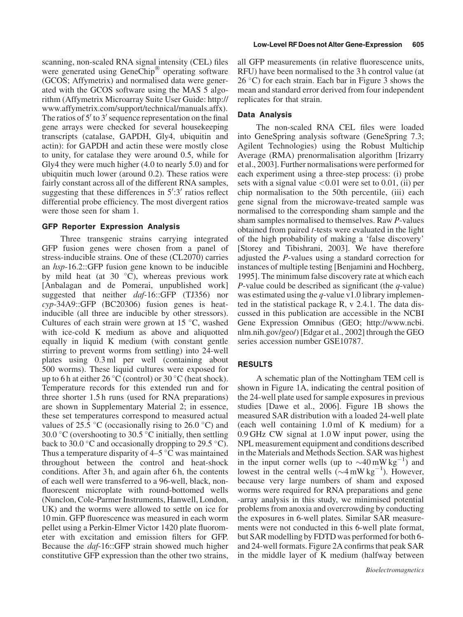scanning, non-scaled RNA signal intensity (CEL) files were generated using  $GeneChip^{\circledR}$  operating software (GCOS; Affymetrix) and normalised data were generated with the GCOS software using the MAS 5 algorithm (Affymetrix Microarray Suite User Guide: http:// www.affymetrix.com/support/technical/manuals.affx). The ratios of  $5'$  to  $3'$  sequence representation on the final gene arrays were checked for several housekeeping transcripts (catalase, GAPDH, Gly4, ubiquitin and actin): for GAPDH and actin these were mostly close to unity, for catalase they were around 0.5, while for Gly4 they were much higher (4.0 to nearly 5.0) and for ubiquitin much lower (around 0.2). These ratios were fairly constant across all of the different RNA samples, suggesting that these differences in  $5^{\prime}:3^{\prime}$  ratios reflect differential probe efficiency. The most divergent ratios were those seen for sham 1.

## GFP Reporter Expression Analysis

Three transgenic strains carrying integrated GFP fusion genes were chosen from a panel of stress-inducible strains. One of these (CL2070) carries an hsp-16.2::GFP fusion gene known to be inducible by mild heat (at  $30^{\circ}$ C), whereas previous work [Anbalagan and de Pomerai, unpublished work] suggested that neither *daf*-16::GFP (TJ356) nor cyp-34A9::GFP (BC20306) fusion genes is heatinducible (all three are inducible by other stressors). Cultures of each strain were grown at  $15^{\circ}$ C, washed with ice-cold K medium as above and aliquotted equally in liquid K medium (with constant gentle stirring to prevent worms from settling) into 24-well plates using 0.3 ml per well (containing about 500 worms). These liquid cultures were exposed for up to 6 h at either 26  $\mathrm{^{\circ}C}$  (control) or 30  $\mathrm{^{\circ}C}$  (heat shock). Temperature records for this extended run and for three shorter 1.5 h runs (used for RNA preparations) are shown in Supplementary Material 2; in essence, these set temperatures correspond to measured actual values of 25.5 °C (occasionally rising to 26.0 °C) and 30.0 °C (overshooting to 30.5 °C initially, then settling back to 30.0  $\degree$ C and occasionally dropping to 29.5  $\degree$ C). Thus a temperature disparity of  $4-5$  °C was maintained throughout between the control and heat-shock conditions. After 3 h, and again after 6 h, the contents of each well were transferred to a 96-well, black, nonfluorescent microplate with round-bottomed wells (Nunclon, Cole-Parmer Instruments, Hanwell, London, UK) and the worms were allowed to settle on ice for 10 min. GFP fluorescence was measured in each worm pellet using a Perkin-Elmer Victor 1420 plate fluorometer with excitation and emission filters for GFP. Because the *daf*-16::GFP strain showed much higher constitutive GFP expression than the other two strains,

all GFP measurements (in relative fluorescence units, RFU) have been normalised to the 3 h control value (at  $26^{\circ}$ C) for each strain. Each bar in Figure 3 shows the mean and standard error derived from four independent replicates for that strain.

## Data Analysis

The non-scaled RNA CEL files were loaded into GeneSpring analysis software (GeneSpring 7.3; Agilent Technologies) using the Robust Multichip Average (RMA) prenormalisation algorithm [Irizarry et al., 2003]. Further normalisations were performed for each experiment using a three-step process: (i) probe sets with a signal value  $< 0.01$  were set to 0.01, (ii) per chip normalisation to the 50th percentile, (iii) each gene signal from the microwave-treated sample was normalised to the corresponding sham sample and the sham samples normalised to themselves. Raw P-values obtained from paired t-tests were evaluated in the light of the high probability of making a 'false discovery' [Storey and Tibishrani, 2003]. We have therefore adjusted the P-values using a standard correction for instances of multiple testing [Benjamini and Hochberg, 1995]. The minimum false discovery rate at which each P-value could be described as significant (the  $q$ -value) was estimated using the  $q$ -value v1.0 library implemented in the statistical package R, v 2.4.1. The data discussed in this publication are accessible in the NCBI Gene Expression Omnibus (GEO; http://www.ncbi. nlm.nih.gov/geo/) [Edgar et al., 2002] through the GEO series accession number GSE10787.

# RESULTS

A schematic plan of the Nottingham TEM cell is shown in Figure 1A, indicating the central position of the 24-well plate used for sample exposures in previous studies [Dawe et al., 2006]. Figure 1B shows the measured SAR distribution with a loaded 24-well plate (each well containing 1.0 ml of K medium) for a 0.9 GHz CW signal at 1.0 W input power, using the NPL measurement equipment and conditions described in the Materials and Methods Section. SAR was highest in the input corner wells (up to  $\sim 40 \text{ mW kg}^{-1}$ ) and lowest in the central wells  $(\sim 4 \text{ mW kg}^{-1})$ . However, because very large numbers of sham and exposed worms were required for RNA preparations and gene -array analysis in this study, we minimised potential problems from anoxia and overcrowding by conducting the exposures in 6-well plates. Similar SAR measurements were not conducted in this 6-well plate format, but SAR modelling by FDTD was performed for both 6 and 24-well formats. Figure 2A confirms that peak SAR in the middle layer of K medium (halfway between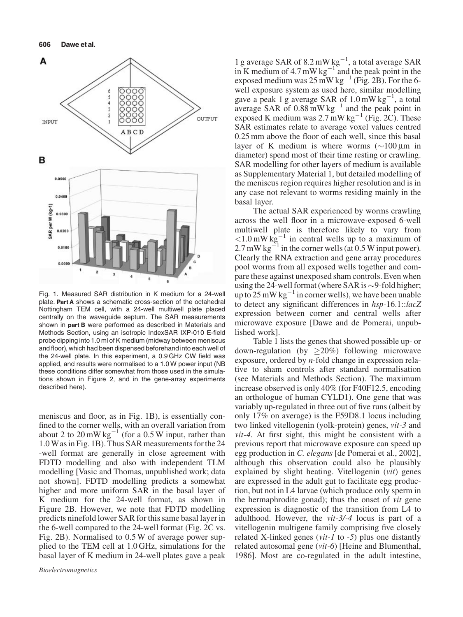

Fig. 1. Measured SAR distribution in K medium for a 24-well plate. Part A shows a schematic cross-section of the octahedral Nottingham TEM cell, with a 24-well multiwell plate placed centrally on the waveguide septum. The SAR measurements shown in part **B** were performed as described in Materials and Methods Section, using an isotropic IndexSAR IXP-010 E-field probe dipping into 1.0 ml of K medium (midway between meniscus and floor), which had been dispensed beforehand into each well of the 24-well plate. In this experiment, a 0.9 GHz CW field was applied, and results were normalised to a 1.0 W power input (NB these conditions differ somewhat from those used in the simulations shown in Figure 2, and in the gene-array experiments described here).

meniscus and floor, as in Fig. 1B), is essentially confined to the corner wells, with an overall variation from about 2 to 20 mW kg<sup>-1</sup> (for a 0.5 W input, rather than 1.0 Was in Fig. 1B). Thus SAR measurements for the 24 -well format are generally in close agreement with FDTD modelling and also with independent TLM modelling [Vasic and Thomas, unpublished work; data not shown]. FDTD modelling predicts a somewhat higher and more uniform SAR in the basal layer of K medium for the 24-well format, as shown in Figure 2B. However, we note that FDTD modelling predicts ninefold lower SAR for this same basal layer in the 6-well compared to the 24-well format (Fig. 2C vs. Fig. 2B). Normalised to 0.5 W of average power supplied to the TEM cell at 1.0 GHz, simulations for the basal layer of K medium in 24-well plates gave a peak

1 g average SAR of 8.2 mW  $kg^{-1}$ , a total average SAR in K medium of 4.7 mW kg<sup>-1</sup> and the peak point in the exposed medium was  $25 \text{ mW kg}^{-1}$  (Fig. 2B). For the 6well exposure system as used here, similar modelling gave a peak 1 g average SAR of  $1.0 \text{ mW kg}^{-1}$ , a total average SAR of  $0.88 \text{ mW kg}^{-1}$  and the peak point in exposed K medium was  $2.7 \text{ mW kg}^{-1}$  (Fig. 2C). These SAR estimates relate to average voxel values centred 0.25 mm above the floor of each well, since this basal layer of K medium is where worms  $(\sim 100 \,\mu m)$  in diameter) spend most of their time resting or crawling. SAR modelling for other layers of medium is available as Supplementary Material 1, but detailed modelling of the meniscus region requires higher resolution and is in any case not relevant to worms residing mainly in the basal layer.

The actual SAR experienced by worms crawling across the well floor in a microwave-exposed 6-well multiwell plate is therefore likely to vary from  $\langle 1.0 \text{ mW kg}^{-1}$  in central wells up to a maximum of  $2.7 \text{ mW kg}^{-1}$  in the corner wells (at 0.5 W input power). Clearly the RNA extraction and gene array procedures pool worms from all exposed wells together and compare these against unexposed sham controls. Even when using the 24-well format (where SAR is  $\sim$ 9-fold higher; up to 25 mW kg<sup>-1</sup> in corner wells), we have been unable to detect any significant differences in hsp-16.1::lacZ expression between corner and central wells after microwave exposure [Dawe and de Pomerai, unpublished work].

Table 1 lists the genes that showed possible up- or down-regulation (by  $\geq 20\%$ ) following microwave exposure, ordered by n-fold change in expression relative to sham controls after standard normalisation (see Materials and Methods Section). The maximum increase observed is only 40% (for F40F12.5, encoding an orthologue of human CYLD1). One gene that was variably up-regulated in three out of five runs (albeit by only 17% on average) is the F59D8.1 locus including two linked vitellogenin (yolk-protein) genes, vit-3 and vit-4. At first sight, this might be consistent with a previous report that microwave exposure can speed up egg production in C. elegans [de Pomerai et al., 2002], although this observation could also be plausibly explained by slight heating. Vitellogenin (vit) genes are expressed in the adult gut to facilitate egg production, but not in L4 larvae (which produce only sperm in the hermaphrodite gonad); thus the onset of vit gene expression is diagnostic of the transition from L4 to adulthood. However, the vit-3/-4 locus is part of a vitellogenin multigene family comprising five closely related X-linked genes ( $vit-1$  to  $-5$ ) plus one distantly related autosomal gene (vit-6) [Heine and Blumenthal, 1986]. Most are co-regulated in the adult intestine,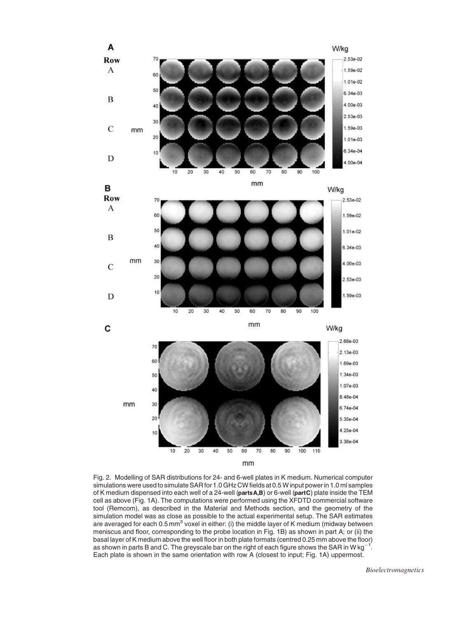

Fig. 2. Modelling of SAR distributions for 24- and 6-well plates in K medium. Numerical computer simulations were used to simulate SAR for 1.0 GHz CWfields at 0.5 W input power in 1.0 ml samples of K medium dispensed into each well of a 24-well (parts A,B) or 6-well (partC) plate inside the TEM cell as above (Fig. 1A). The computations were performed using the XFDTD commercial software tool (Remcom), as described in the Material and Methods section, and the geometry of the simulation model was as close as possible to the actual experimental setup. The SAR estimates are averaged for each 0.5 mm<sup>3</sup> voxel in either: (i) the middle layer of K medium (midway between meniscus and floor, corresponding to the probe location in Fig. 1B) as shown in part A; or (ii) the basal layer of K medium above the well floor in both plate formats (centred 0.25 mm above the floor) as shown in parts B and C. The greyscale bar on the right of each figure shows the SAR in W kg $^{-1}$ . Each plate is shown in the same orientation with row A (closest to input; Fig. 1A) uppermost.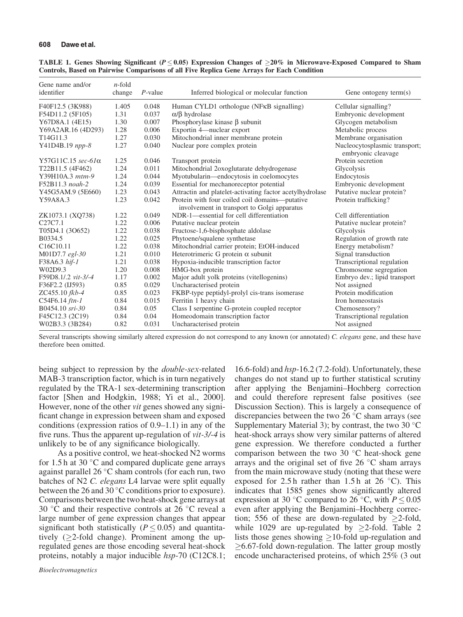| Gene name and/or<br>identifier     | $n$ -fold<br>change | $P$ -value | Inferred biological or molecular function                                                     | Gene ontogeny term $(s)$                            |
|------------------------------------|---------------------|------------|-----------------------------------------------------------------------------------------------|-----------------------------------------------------|
| F40F12.5 (3K988)                   | 1.405               | 0.048      | Human CYLD1 orthologue (NFKB signalling)                                                      | Cellular signalling?                                |
| F54D11.2 (5F105)                   | 1.31                | 0.037      | $\alpha$ / $\beta$ hydrolase                                                                  | Embryonic development                               |
| Y67D8A.1 (4E15)                    | 1.30                | 0.007      | Phosphorylase kinase $\beta$ subunit                                                          | Glycogen metabolism                                 |
| Y69A2AR.16 (4D293)                 | 1.28                | 0.006      | Exportin 4-nuclear export                                                                     | Metabolic process                                   |
| T14G11.3                           | 1.27                | 0.030      | Mitochondrial inner membrane protein                                                          | Membrane organisation                               |
| Y41D4B.19 npp-8                    | 1.27                | 0.040      | Nuclear pore complex protein                                                                  | Nucleocytosplasmic transport;<br>embryonic cleavage |
| Y57G11C.15 sec-61α                 | 1.25                | 0.046      | Transport protein                                                                             | Protein secretion                                   |
| T22B11.5 (4F462)                   | 1.24                | 0.011      | Mitochondrial 2oxoglutarate dehydrogenase                                                     | Glycolysis                                          |
| Y39H10A.3 mtm-9                    | 1.24                | 0.044      | Myotubularin-endocytosis in coelomocytes                                                      | Endocytosis                                         |
| F52B11.3 noah-2                    | 1.24                | 0.039      | Essential for mechanoreceptor potential                                                       | Embryonic development                               |
| Y45G5AM.9 (5E660)                  | 1.23                | 0.043      | Attractin and platelet-activating factor acetylhydrolase                                      | Putative nuclear protein?                           |
| Y59A8A.3                           | 1.23                | 0.042      | Protein with four coiled coil domains—putative<br>involvement in transport to Golgi apparatus | Protein trafficking?                                |
| ZK1073.1 (XQ738)                   | 1.22                | 0.049      | NDR-1—essential for cell differentiation                                                      | Cell differentiation                                |
| C <sub>27</sub> C <sub>7.1</sub>   | 1.22                | 0.006      | Putative nuclear protein                                                                      | Putative nuclear protein?                           |
| T05D4.1 (3O652)                    | 1.22                | 0.038      | Fructose-1,6-bisphosphate aldolase                                                            | Glycolysis                                          |
| B0334.5                            | 1.22                | 0.025      | Phytoene/squalene synthetase                                                                  | Regulation of growth rate                           |
| C <sub>16</sub> C <sub>10.11</sub> | 1.22                | 0.038      | Mitochondrial carrier protein; EtOH-induced                                                   | Energy metabolism?                                  |
| M01D7.7 egl-30                     | 1.21                | 0.010      | Heterotrimeric G protein $\alpha$ subunit                                                     | Signal transduction                                 |
| F38A6.3 hif-1                      | 1.21                | 0.038      | Hypoxia-inducible transcription factor                                                        | Transcriptional regulation                          |
| W02D9.3                            | 1.20                | 0.008      | HMG-box protein                                                                               | Chromosome segregation                              |
| F59D8.1/.2 vit-3/-4                | 1.17                | 0.002      | Major adult yolk proteins (vitellogenins)                                                     | Embryo dev.; lipid transport                        |
| F36F2.2 (IJ593)                    | 0.85                | 0.029      | Uncharacterised protein                                                                       | Not assigned                                        |
| ZC455.10 fkb-4                     | 0.85                | 0.023      | FKBP-type peptidyl-prolyl cis-trans isomerase                                                 | Protein modification                                |
| C54F6.14 ftn-1                     | 0.84                | 0.015      | Ferritin 1 heavy chain                                                                        | Iron homeostasis                                    |
| B0454.10 sri-30                    | 0.84                | 0.05       | Class I serpentine G-protein coupled receptor                                                 | Chemosensory?                                       |
| F45C12.3 (2C19)                    | 0.84                | 0.04       | Homeodomain transcription factor                                                              | Transcriptional regulation                          |
| W02B3.3 (3B284)                    | 0.82                | 0.031      | Uncharacterised protein                                                                       | Not assigned                                        |

| TABLE 1. Genes Showing Significant ( $P \le 0.05$ ) Expression Changes of $\ge 20\%$ in Microwave-Exposed Compared to Sham |  |  |  |
|----------------------------------------------------------------------------------------------------------------------------|--|--|--|
| Controls, Based on Pairwise Comparisons of all Five Replica Gene Arrays for Each Condition                                 |  |  |  |

Several transcripts showing similarly altered expression do not correspond to any known (or annotated) C. elegans gene, and these have therefore been omitted.

being subject to repression by the *double-sex-related* MAB-3 transcription factor, which is in turn negatively regulated by the TRA-1 sex-determining transcription factor [Shen and Hodgkin, 1988; Yi et al., 2000]. However, none of the other vit genes showed any significant change in expression between sham and exposed conditions (expression ratios of 0.9–1.1) in any of the five runs. Thus the apparent up-regulation of vit-3/-4 is unlikely to be of any significance biologically.

As a positive control, we heat-shocked N2 worms for 1.5 h at 30  $^{\circ}$ C and compared duplicate gene arrays against parallel 26 $\degree$ C sham controls (for each run, two batches of N2 C. elegans L4 larvae were split equally between the 26 and 30  $\degree$ C conditions prior to exposure). Comparisons between the two heat-shock gene arrays at 30 °C and their respective controls at 26 °C reveal a large number of gene expression changes that appear significant both statistically ( $P \leq 0.05$ ) and quantitatively ( $\geq$ 2-fold change). Prominent among the upregulated genes are those encoding several heat-shock proteins, notably a major inducible hsp-70 (C12C8.1;

16.6-fold) and hsp-16.2 (7.2-fold). Unfortunately, these changes do not stand up to further statistical scrutiny after applying the Benjamini–Hochberg correction and could therefore represent false positives (see Discussion Section). This is largely a consequence of discrepancies between the two 26  $\degree$ C sham arrays (see Supplementary Material 3); by contrast, the two 30  $^{\circ}$ C heat-shock arrays show very similar patterns of altered gene expression. We therefore conducted a further comparison between the two 30  $^{\circ}$ C heat-shock gene arrays and the original set of five  $26^{\circ}$ C sham arrays from the main microwave study (noting that these were exposed for 2.5 h rather than 1.5 h at 26  $^{\circ}$ C). This indicates that 1585 genes show significantly altered expression at 30 °C compared to 26 °C, with  $P \le 0.05$ even after applying the Benjamini–Hochberg correction; 556 of these are down-regulated by  $\geq$ 2-fold, while 1029 are up-regulated by  $>2$ -fold. Table 2 lists those genes showing  $\geq$ 10-fold up-regulation and  $>6.67$ -fold down-regulation. The latter group mostly encode uncharacterised proteins, of which 25% (3 out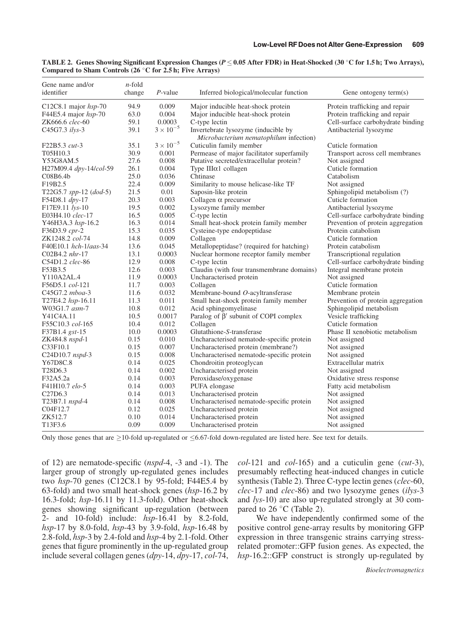| Gene name and/or<br>identifier   | $n$ -fold<br>change | $P$ -value         | Inferred biological/molecular function                                        | Gene ontogeny term(s)             |
|----------------------------------|---------------------|--------------------|-------------------------------------------------------------------------------|-----------------------------------|
| C12C8.1 major hsp-70             | 94.9                | 0.009              | Major inducible heat-shock protein                                            | Protein trafficking and repair    |
| F44E5.4 major $hsp-70$           | 63.0                | 0.004              | Major inducible heat-shock protein                                            | Protein trafficking and repair    |
| ZK666.6 clec-60                  | 59.1                | 0.0003             | C-type lectin                                                                 | Cell-surface carbohydrate binding |
| C45G7.3 ilys-3                   | 39.1                | $3\times10^{-5}$   | Invertebrate lysozyme (inducible by<br>Microbacterium nematophilum infection) | Antibacterial lysozyme            |
| F22B5.3 cut-3                    | 35.1                | $3 \times 10^{-5}$ | Cuticulin family member                                                       | Cuticle formation                 |
| T05H10.3                         | 30.9                | 0.001              | Permease of major facilitator superfamily                                     | Transport across cell membranes   |
| Y53G8AM.5                        | 27.6                | 0.008              | Putative secreted/extracellular protein?                                      | Not assigned                      |
| H27M09.4 dpy-14/col-59           | 26.1                | 0.004              | Type IIIα1 collagen                                                           | Cuticle formation                 |
| C08B6.4 <sub>b</sub>             | 25.0                | 0.036              | Chtinase                                                                      | Catabolism                        |
| F19B2.5                          | 22.4                | 0.009              | Similarity to mouse helicase-like TF                                          | Not assigned                      |
| T22G5.7 spp-12 (dod-5)           | 21.5                | 0.01               | Saposin-like protein                                                          | Sphingolipid metabolism (?)       |
| F54D8.1 dpy-17                   | 20.3                | 0.003              | Collagen $\alpha$ precursor                                                   | Cuticle formation                 |
| F17E9.11 lys-10                  | 19.5                | 0.002              | Lysozyme family member                                                        | Antibacterial lysozyme            |
| E03H4.10 clec-17                 | 16.5                | 0.005              | C-type lectin                                                                 | Cell-surface carbohydrate binding |
| Y46H3A.3 hsp-16.2                | 16.3                | 0.014              | Small heat-shock protein family member                                        | Prevention of protein aggregation |
| F36D3.9 cpr-2                    | 15.3                | 0.035              | Cysteine-type endopeptidase                                                   | Protein catabolism                |
| ZK1248.2 col-74                  | 14.8                | 0.009              | Collagen                                                                      | Cuticle formation                 |
| F40E10.1 hch-1/aas-34            | 13.6                | 0.045              | Metallopeptidase? (required for hatching)                                     | Protein catabolism                |
| C02B4.2 nhr-17                   | 13.1                | 0.0003             | Nuclear hormone receptor family member                                        | Transcriptional regulation        |
| C54D1.2 clec-86                  | 12.9                | 0.008              | C-type lectin                                                                 | Cell-surface carbohydrate binding |
| F53B3.5                          | 12.6                | 0.003              | Claudin (with four transmembrane domains)                                     | Integral membrane protein         |
| Y110A2AL.4                       | 11.9                | 0.0003             | Uncharacterised protein                                                       | Not assigned                      |
| F56D5.1 col-121                  | 11.7                | 0.003              | Collagen                                                                      | Cuticle formation                 |
| C45G7.2 mboa-3                   | 11.6                | 0.032              | Membrane-bound O-acyltransferase                                              | Membrane protein                  |
| T27E4.2 hsp-16.11                | 11.3                | 0.011              | Small heat-shock protein family member                                        | Prevention of protein aggregation |
| W03G1.7 asm-7                    | 10.8                | 0.012              | Acid sphingomyelinase                                                         | Sphingolipid metabolism           |
| Y41C4A.11                        | 10.5                | 0.0017             | Paralog of $\beta'$ subunit of COPI complex                                   | Vesicle trafficking               |
| F55C10.3 col-165                 | 10.4                | 0.012              | Collagen                                                                      | Cuticle formation                 |
| F37B1.4 gst-15                   | 10.0                | 0.0003             | Glutathione-S-transferase                                                     | Phase II xenobiotic metabolism    |
| ZK484.8 nspd-1                   | 0.15                | 0.010              | Uncharacterised nematode-specific protein                                     | Not assigned                      |
| C33F10.1                         | 0.15                | 0.007              | Uncharacterised protein (membrane?)                                           | Not assigned                      |
| C24D10.7 nspd-3                  | 0.15                | 0.008              | Uncharacterised nematode-specific protein                                     | Not assigned                      |
| Y67D8C.8                         | 0.14                | 0.025              | Chondroitin proteoglycan                                                      | Extracellular matrix              |
| T <sub>28</sub> D <sub>6.3</sub> | 0.14                | 0.002              | Uncharacterised protein                                                       | Not assigned                      |
| F32A5.2a                         | 0.14                | 0.003              | Peroxidase/oxygenase                                                          | Oxidative stress response         |
| F41H10.7 elo-5                   | 0.14                | 0.003              | PUFA elongase                                                                 | Fatty acid metabolism             |
| C <sub>27</sub> D <sub>6.3</sub> | 0.14                | 0.013              | Uncharacterised protein                                                       | Not assigned                      |
| T23B7.1 nspd-4                   | 0.14                | 0.008              | Uncharacterised nematode-specific protein                                     | Not assigned                      |
| C04F12.7                         | 0.12                | 0.025              | Uncharacterised protein                                                       | Not assigned                      |
| ZK512.7                          | 0.10                | 0.014              | Uncharacterised protein                                                       | Not assigned                      |
| T13F3.6                          | 0.09                | 0.009              | Uncharacterised protein                                                       | Not assigned                      |

TABLE 2. Genes Showing Significant Expression Changes ( $P \le 0.05$  After FDR) in Heat-Shocked (30 °C for 1.5 h; Two Arrays), Compared to Sham Controls  $(26 °C)$  for 2.5 h; Five Arrays)

Only those genes that are  $\geq$ 10-fold up-regulated or  $\leq$ 6.67-fold down-regulated are listed here. See text for details.

of 12) are nematode-specific (nspd-4, -3 and -1). The larger group of strongly up-regulated genes includes two  $hsp-70$  genes (C12C8.1 by 95-fold; F44E5.4 by 63-fold) and two small heat-shock genes (hsp-16.2 by 16.3-fold; hsp-16.11 by 11.3-fold). Other heat-shock genes showing significant up-regulation (between 2- and 10-fold) include:  $hsp-16.41$  by 8.2-fold, *hsp*-17 by 8.0-fold,  $hsp-43$  by 3.9-fold,  $hsp-16.48$  by 2.8-fold, hsp-3 by 2.4-fold and hsp-4 by 2.1-fold. Other genes that figure prominently in the up-regulated group include several collagen genes (dpy-14, dpy-17, col-74,  $col-121$  and  $col-165$ ) and a cuticulin gene ( $cut-3$ ), presumably reflecting heat-induced changes in cuticle synthesis (Table 2). Three C-type lectin genes (*clec-60*, clec-17 and clec-86) and two lysozyme genes (ilys-3 and lys-10) are also up-regulated strongly at 30 compared to  $26^{\circ}$ C (Table 2).

We have independently confirmed some of the positive control gene-array results by monitoring GFP expression in three transgenic strains carrying stressrelated promoter::GFP fusion genes. As expected, the hsp-16.2::GFP construct is strongly up-regulated by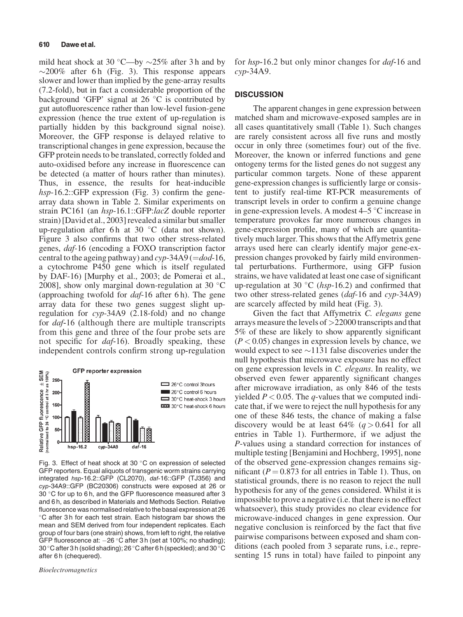mild heat shock at 30 °C—by  $\sim$ 25% after 3 h and by  $\sim$ 200% after 6 h (Fig. 3). This response appears slower and lower than implied by the gene-array results (7.2-fold), but in fact a considerable proportion of the background 'GFP' signal at 26  $\degree$ C is contributed by gut autofluorescence rather than low-level fusion-gene expression (hence the true extent of up-regulation is partially hidden by this background signal noise). Moreover, the GFP response is delayed relative to transcriptional changes in gene expression, because the GFP protein needs to be translated, correctly folded and auto-oxidised before any increase in fluorescence can be detected (a matter of hours rather than minutes). Thus, in essence, the results for heat-inducible hsp-16.2::GFP expression (Fig. 3) confirm the genearray data shown in Table 2. Similar experiments on strain PC161 (an hsp-16.1::GFP:lacZ double reporter strain) [David et al., 2003] revealed a similar but smaller up-regulation after 6 h at 30  $\degree$ C (data not shown). Figure 3 also confirms that two other stress-related genes, daf-16 (encoding a FOXO transcription factor central to the ageing pathway) and  $\exp-34A9 (=dod-16,$ a cytochrome P450 gene which is itself regulated by DAF-16) [Murphy et al., 2003; de Pomerai et al., 2008], show only marginal down-regulation at 30  $^{\circ}$ C (approaching twofold for  $daf-16$  after 6 h). The gene array data for these two genes suggest slight upregulation for cyp-34A9 (2.18-fold) and no change for daf-16 (although there are multiple transcripts from this gene and three of the four probe sets are not specific for *daf*-16). Broadly speaking, these independent controls confirm strong up-regulation



Fig. 3. Effect of heat shock at 30 $\degree$ C on expression of selected GFP reporters. Equal aliquots of transgenic worm strains carrying integrated hsp-16.2::GFP (CL2070), daf-16::GFP (TJ356) and cyp-34A9::GFP (BC20306) constructs were exposed at 26 or 30 °C for up to 6 h, and the GFP fluorescence measured after 3 and 6 h, as described in Materials and Methods Section. Relative fluorescence was normalised relative to the basal expression at 26 C after 3 h for each test strain. Each histogram bar shows the mean and SEM derived from four independent replicates. Each group of four bars (one strain) shows, from left to right, the relative GFP fluorescence at:  $-26$  °C after 3 h (set at 100%; no shading); 30 °C after 3 h (solid shading); 26 °C after 6 h (speckled); and 30 °C after 6 h (chequered).

Bioelectromagnetics

for hsp-16.2 but only minor changes for *daf*-16 and  $cvp-34A9.$ 

## **DISCUSSION**

The apparent changes in gene expression between matched sham and microwave-exposed samples are in all cases quantitatively small (Table 1). Such changes are rarely consistent across all five runs and mostly occur in only three (sometimes four) out of the five. Moreover, the known or inferred functions and gene ontogeny terms for the listed genes do not suggest any particular common targets. None of these apparent gene-expression changes is sufficiently large or consistent to justify real-time RT-PCR measurements of transcript levels in order to confirm a genuine change in gene-expression levels. A modest  $4-5$  °C increase in temperature provokes far more numerous changes in gene-expression profile, many of which are quantitatively much larger. This shows that the Affymetrix gene arrays used here can clearly identify major gene-expression changes provoked by fairly mild environmental perturbations. Furthermore, using GFP fusion strains, we have validated at least one case of significant up-regulation at 30 °C ( $hsp-16.2$ ) and confirmed that two other stress-related genes (daf-16 and cyp-34A9) are scarcely affected by mild heat (Fig. 3).

Given the fact that Affymetrix C. elegans gene arrays measure the levels of >22000 transcripts and that 5% of these are likely to show apparently significant  $(P<0.05)$  changes in expression levels by chance, we would expect to see  $\sim$ 1131 false discoveries under the null hypothesis that microwave exposure has no effect on gene expression levels in C. elegans. In reality, we observed even fewer apparently significant changes after microwave irradiation, as only 846 of the tests yielded  $P < 0.05$ . The q-values that we computed indicate that, if we were to reject the null hypothesis for any one of these 846 tests, the chance of making a false discovery would be at least  $64\%$   $(q > 0.641$  for all entries in Table 1). Furthermore, if we adjust the P-values using a standard correction for instances of multiple testing [Benjamini and Hochberg, 1995], none of the observed gene-expression changes remains significant ( $P = 0.873$  for all entries in Table 1). Thus, on statistical grounds, there is no reason to reject the null hypothesis for any of the genes considered. Whilst it is impossible to prove a negative (i.e. that there is no effect whatsoever), this study provides no clear evidence for microwave-induced changes in gene expression. Our negative conclusion is reinforced by the fact that five pairwise comparisons between exposed and sham conditions (each pooled from 3 separate runs, i.e., representing 15 runs in total) have failed to pinpoint any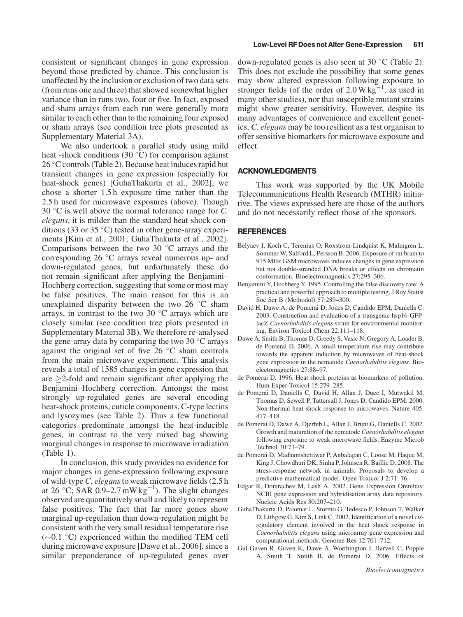consistent or significant changes in gene expression beyond those predicted by chance. This conclusion is unaffected by the inclusion or exclusion of two data sets (from runs one and three) that showed somewhat higher variance than in runs two, four or five. In fact, exposed and sham arrays from each run were generally more similar to each other than to the remaining four exposed or sham arrays (see condition tree plots presented as Supplementary Material 3A).

We also undertook a parallel study using mild heat -shock conditions (30 $^{\circ}$ C) for comparison against 26 °C controls (Table 2). Because heat induces rapid but transient changes in gene expression (especially for heat-shock genes) [GuhaThakurta et al., 2002], we chose a shorter 1.5 h exposure time rather than the 2.5 h used for microwave exposures (above). Though 30  $\degree$ C is well above the normal tolerance range for C. elegans, it is milder than the standard heat-shock conditions (33 or 35  $\degree$ C) tested in other gene-array experiments [Kim et al., 2001; GuhaThakurta et al., 2002]. Comparisons between the two 30  $\degree$ C arrays and the corresponding  $26 \degree C$  arrays reveal numerous up- and down-regulated genes, but unfortunately these do not remain significant after applying the Benjamini– Hochberg correction, suggesting that some or most may be false positives. The main reason for this is an unexplained disparity between the two  $26^{\circ}$ C sham arrays, in contrast to the two 30 $\degree$ C arrays which are closely similar (see condition tree plots presented in Supplementary Material 3B). We therefore re-analysed the gene-array data by comparing the two 30  $\degree$ C arrays against the original set of five  $26^{\circ}$ C sham controls from the main microwave experiment. This analysis reveals a total of 1585 changes in gene expression that are  $\geq$ 2-fold and remain significant after applying the Benjamini–Hochberg correction. Amongst the most strongly up-regulated genes are several encoding heat-shock proteins, cuticle components, C-type lectins and lysozymes (see Table 2). Thus a few functional categories predominate amongst the heat-inducible genes, in contrast to the very mixed bag showing marginal changes in response to microwave irradiation (Table 1).

In conclusion, this study provides no evidence for major changes in gene-expression following exposure of wild-type C. elegans to weak microwave fields (2.5 h) at 26 °C; SAR 0.9–2.7 mW kg<sup>-1</sup>). The slight changes observed are quantitatively small and likely to represent false positives. The fact that far more genes show marginal up-regulation than down-regulation might be consistent with the very small residual temperature rise  $(\sim 0.1 \degree C)$  experienced within the modified TEM cell during microwave exposure [Dawe et al., 2006], since a similar preponderance of up-regulated genes over down-regulated genes is also seen at 30  $^{\circ}$ C (Table 2). This does not exclude the possibility that some genes may show altered expression following exposure to stronger fields (of the order of  $2.0 \text{ W kg}^{-1}$ , as used in many other studies), nor that susceptible mutant strains might show greater sensitivity. However, despite its many advantages of convenience and excellent genetics, C. elegans may be too resilient as a test organism to offer sensitive biomarkers for microwave exposure and effect.

## ACKNOWLEDGMENTS

This work was supported by the UK Mobile Telecommunications Health Research (MTHR) initiative. The views expressed here are those of the authors and do not necessarily reflect those of the sponsors.

#### REFERENCES

- Belyaev I, Koch C, Terenius O, Roxstrom-Lindquist K, Malmgren L, Sommer W, Salford L, Persson B. 2006. Exposure of rat brain to 915 MHz GSM microwaves induces changes in gene expression but not double-stranded DNA breaks or effects on chromatin conformation. Bioelectromagnetics 27:295–306.
- Benjamini Y, Hochberg Y. 1995. Controlling the false discovery rate: A practical and powerful approach to multiple testing. J Roy Statist Soc Ser B (Methodol) 57:289–300.
- David H, Dawe A, de Pomerai D, Jones D, Candido EPM, Daniells C. 2003. Construction and evaluation of a transgenic hsp16-GFPlacZ Caenorhabditis elegans strain for environmental monitoring. Environ Toxicol Chem 22:111–118.
- Dawe A, Smith B, Thomas D, Greedy S, Vasic N, Gregory A, Loader B, de Pomerai D. 2006. A small temperature rise may contribute towards the apparent induction by microwaves of heat-shock gene expression in the nematode Caenorhabditis elegans. Bioelectomagnetics 27:88–97.
- de Pomerai D. 1996. Heat shock proteins as biomarkers of pollution. Hum Exper Toxicol 15:279–285.
- de Pomerai D, Daniells C, David H, Allan J, Duce I, Mutwakil M, Thomas D, Sewell P, Tattersall J, Jones D, Candido EPM. 2000. Non-thermal heat-shock response to microwaves. Nature 405: 417–418.
- de Pomerai D, Dawe A, Djerbib L, Allan J, Brunt G, Daniells C. 2002. Growth and maturation of the nematode Caenorhabditis elegans following exposure to weak microwave fields. Enzyme Microb Technol 30:73–79.
- de Pomerai D, Madhamshettiwar P, Anbalagan C, Loose M, Haque M, King J, Chowdhuri DK, Sinha P, Johnsen R, Baillie D. 2008. The stress-response network in animals: Proposals to develop a predictive mathematical model. Open Toxicol J 2:71–76.
- Edgar R, Domrachev M, Lash A. 2002. Gene Expression Omnibus: NCBI gene expression and hybridisation array data repository. Nucleic Acids Res 30:207–210.
- GuhaThakurta D, Palomar L, Stormo G, Tedesco P, Johnson T, Walker D, Lithgow G, Kim S, Link C. 2002. Identification of a novel cisregulatory element involved in the heat shock response in Caenorhabditis elegans using microarray gene expression and computational methods. Genome Res 12:701–712.
- Gul-Guven R, Guven K, Dawe A, Worthington J, Harvell C, Popple A, Smith T, Smith B, de Pomerai D. 2006. Effects of

Bioelectromagnetics